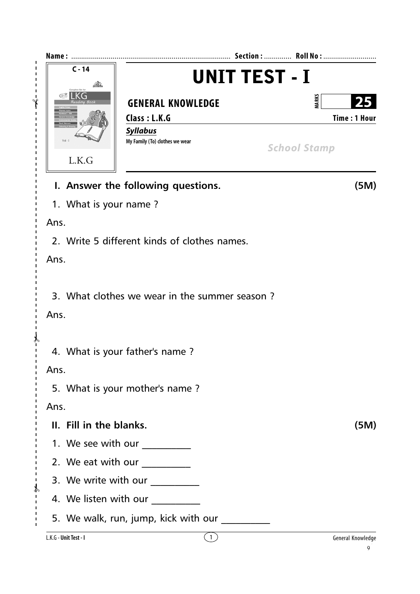| Name:                   | <b>UNIT TEST - I</b>                                                                                                                                                                                                                                                                                                                                                                                          |                                           |
|-------------------------|---------------------------------------------------------------------------------------------------------------------------------------------------------------------------------------------------------------------------------------------------------------------------------------------------------------------------------------------------------------------------------------------------------------|-------------------------------------------|
| $C - 14$                |                                                                                                                                                                                                                                                                                                                                                                                                               |                                           |
| K(<br>∿Բ                | <b>GENERAL KNOWLEDGE</b><br>Class: L.K.G                                                                                                                                                                                                                                                                                                                                                                      | <b>MARKS</b><br>25<br><b>Time: 1 Hour</b> |
| $Vol - I$<br>L.K.G      | <b>Syllabus</b><br>My Family (To) clothes we wear                                                                                                                                                                                                                                                                                                                                                             | <b>School Stamp</b>                       |
|                         | I. Answer the following questions.                                                                                                                                                                                                                                                                                                                                                                            | (5M)                                      |
| 1. What is your name?   |                                                                                                                                                                                                                                                                                                                                                                                                               |                                           |
| Ans.                    |                                                                                                                                                                                                                                                                                                                                                                                                               |                                           |
|                         | 2. Write 5 different kinds of clothes names.                                                                                                                                                                                                                                                                                                                                                                  |                                           |
| Ans.                    |                                                                                                                                                                                                                                                                                                                                                                                                               |                                           |
| Ans.                    | 3. What clothes we wear in the summer season?                                                                                                                                                                                                                                                                                                                                                                 |                                           |
|                         | 4. What is your father's name?                                                                                                                                                                                                                                                                                                                                                                                |                                           |
| Ans.                    |                                                                                                                                                                                                                                                                                                                                                                                                               |                                           |
|                         | 5. What is your mother's name?                                                                                                                                                                                                                                                                                                                                                                                |                                           |
| Ans.                    |                                                                                                                                                                                                                                                                                                                                                                                                               |                                           |
| II. Fill in the blanks. |                                                                                                                                                                                                                                                                                                                                                                                                               | (5M)                                      |
|                         | 1. We see with our __________                                                                                                                                                                                                                                                                                                                                                                                 |                                           |
|                         | 2. We eat with our $\frac{1}{\sqrt{1-\frac{1}{2}}}\frac{1}{\sqrt{1-\frac{1}{2}}}\frac{1}{\sqrt{1-\frac{1}{2}}}\frac{1}{\sqrt{1-\frac{1}{2}}}\frac{1}{\sqrt{1-\frac{1}{2}}}\frac{1}{\sqrt{1-\frac{1}{2}}}\frac{1}{\sqrt{1-\frac{1}{2}}}\frac{1}{\sqrt{1-\frac{1}{2}}}\frac{1}{\sqrt{1-\frac{1}{2}}}\frac{1}{\sqrt{1-\frac{1}{2}}}\frac{1}{\sqrt{1-\frac{1}{2}}}\frac{1}{\sqrt{1-\frac{1}{2}}}\frac{1}{\sqrt{1$ |                                           |
| $\mathcal{P}$           | 3. We write with our _________                                                                                                                                                                                                                                                                                                                                                                                |                                           |
|                         | 4. We listen with our                                                                                                                                                                                                                                                                                                                                                                                         |                                           |
|                         | 5. We walk, run, jump, kick with our __________                                                                                                                                                                                                                                                                                                                                                               |                                           |
| L.K.G - Unit Test - I   | $\left(1\right)$                                                                                                                                                                                                                                                                                                                                                                                              | General Knowledge<br>q                    |